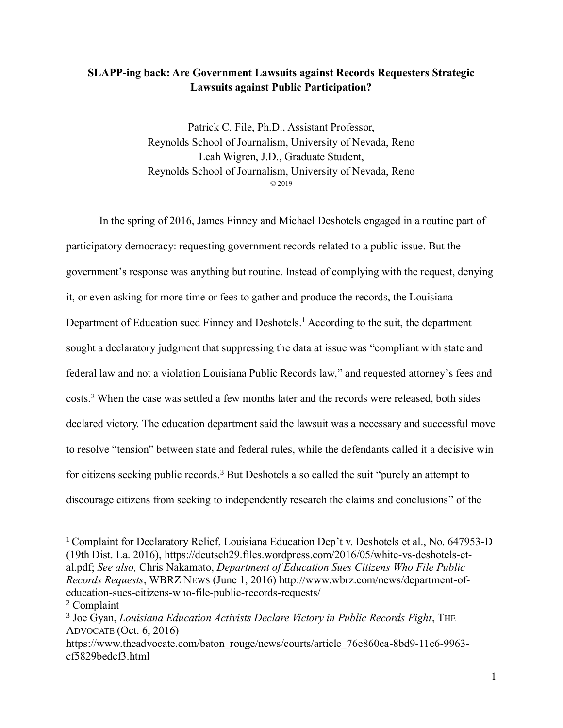# **SLAPP-ing back: Are Government Lawsuits against Records Requesters Strategic Lawsuits against Public Participation?**

<span id="page-0-0"></span>Patrick C. File, Ph.D., Assistant Professor, Reynolds School of Journalism, University of Nevada, Reno Leah Wigren, J.D., Graduate Student, Reynolds School of Journalism, University of Nevada, Reno © 2019

In the spring of 2016, James Finney and Michael Deshotels engaged in a routine part of participatory democracy: requesting government records related to a public issue. But the government's response was anything but routine. Instead of complying with the request, denying it, or even asking for more time or fees to gather and produce the records, the Louisiana Department of Education sued Finney and Deshotels.<sup>1</sup> According to the suit, the department sought a declaratory judgment that suppressing the data at issue was "compliant with state and federal law and not a violation Louisiana Public Records law," and requested attorney's fees and costs.<sup>2</sup> When the case was settled a few months later and the records were released, both sides declared victory. The education department said the lawsuit was a necessary and successful move to resolve "tension" between state and federal rules, while the defendants called it a decisive win for citizens seeking public records.<sup>3</sup> But Deshotels also called the suit "purely an attempt to discourage citizens from seeking to independently research the claims and conclusions" of the

<span id="page-0-1"></span><sup>&</sup>lt;sup>1</sup> Complaint for Declaratory Relief, Louisiana Education Dep't v. Deshotels et al., No. 647953-D (19th Dist. La. 2016), https://deutsch29.files.wordpress.com/2016/05/white-vs-deshotels-etal.pdf; *See also,* Chris Nakamato, *Department of Education Sues Citizens Who File Public Records Requests*, WBRZ NEWS (June 1, 2016) http://www.wbrz.com/news/department-ofeducation-sues-citizens-who-file-public-records-requests/

<sup>2</sup> Complaint

<sup>3</sup> Joe Gyan, *Louisiana Education Activists Declare Victory in Public Records Fight*, THE ADVOCATE (Oct. 6, 2016)

https://www.theadvocate.com/baton\_rouge/news/courts/article\_76e860ca-8bd9-11e6-9963cf5829bedcf3.html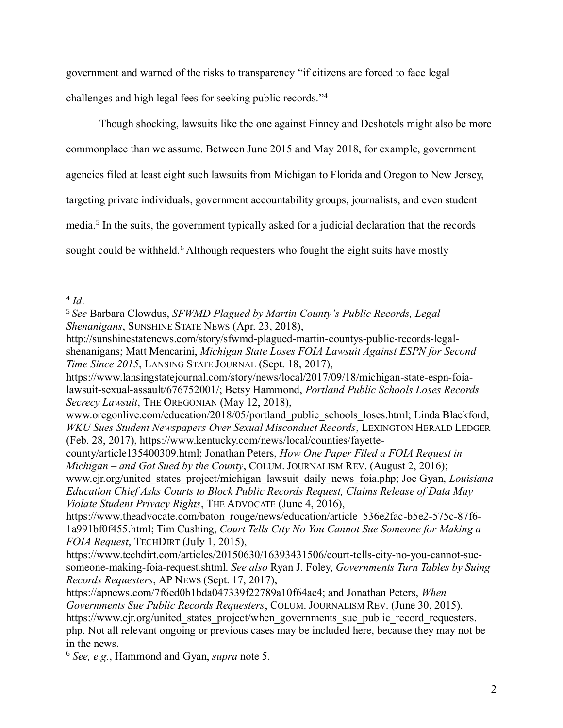government and warned of the risks to transparency "if citizens are forced to face legal challenges and high legal fees for seeking public records." 4

Though shocking, lawsuits like the one against Finney and Deshotels might also be more

commonplace than we assume. Between June 2015 and May 2018, for example, government

agencies filed at least eight such lawsuits from Michigan to Florida and Oregon to New Jersey,

targeting private individuals, government accountability groups, journalists, and even student

<span id="page-1-0"></span>media.<sup>5</sup> In the suits, the government typically asked for a judicial declaration that the records

sought could be withheld.<sup>6</sup> Although requesters who fought the eight suits have mostly

<sup>6</sup> *See, e.g.*, Hammond and Gyan, *supra* note [5.](#page-1-0)

 $\overline{a}$ 4 *Id*.

<sup>5</sup> *See* Barbara Clowdus, *SFWMD Plagued by Martin County's Public Records, Legal Shenanigans*, SUNSHINE STATE NEWS (Apr. 23, 2018),

http://sunshinestatenews.com/story/sfwmd-plagued-martin-countys-public-records-legalshenanigans; Matt Mencarini, *Michigan State Loses FOIA Lawsuit Against ESPN for Second Time Since 2015*, LANSING STATE JOURNAL (Sept. 18, 2017),

https://www.lansingstatejournal.com/story/news/local/2017/09/18/michigan-state-espn-foialawsuit-sexual-assault/676752001/; Betsy Hammond, *Portland Public Schools Loses Records Secrecy Lawsuit*, THE OREGONIAN (May 12, 2018),

www.oregonlive.com/education/2018/05/portland\_public\_schools\_loses.html; Linda Blackford, *WKU Sues Student Newspapers Over Sexual Misconduct Records*, LEXINGTON HERALD LEDGER (Feb. 28, 2017), https://www.kentucky.com/news/local/counties/fayette-

county/article135400309.html; Jonathan Peters, *How One Paper Filed a FOIA Request in Michigan – and Got Sued by the County*, COLUM. JOURNALISM REV. (August 2, 2016); www.cjr.org/united\_states\_project/michigan\_lawsuit\_daily\_news\_foia.php; Joe Gyan, *Louisiana Education Chief Asks Courts to Block Public Records Request, Claims Release of Data May Violate Student Privacy Rights*, THE ADVOCATE (June 4, 2016),

https://www.theadvocate.com/baton\_rouge/news/education/article\_536e2fac-b5e2-575c-87f6-1a991bf0f455.html; Tim Cushing, *Court Tells City No You Cannot Sue Someone for Making a FOIA Request*, TECHDIRT (July 1, 2015),

https://www.techdirt.com/articles/20150630/16393431506/court-tells-city-no-you-cannot-suesomeone-making-foia-request.shtml. *See also* Ryan J. Foley, *Governments Turn Tables by Suing Records Requesters*, AP NEWS (Sept. 17, 2017),

https://apnews.com/7f6ed0b1bda047339f22789a10f64ac4; and Jonathan Peters, *When Governments Sue Public Records Requesters*, COLUM. JOURNALISM REV. (June 30, 2015). https://www.cjr.org/united\_states\_project/when\_governments\_sue\_public\_record\_requesters. php. Not all relevant ongoing or previous cases may be included here, because they may not be in the news.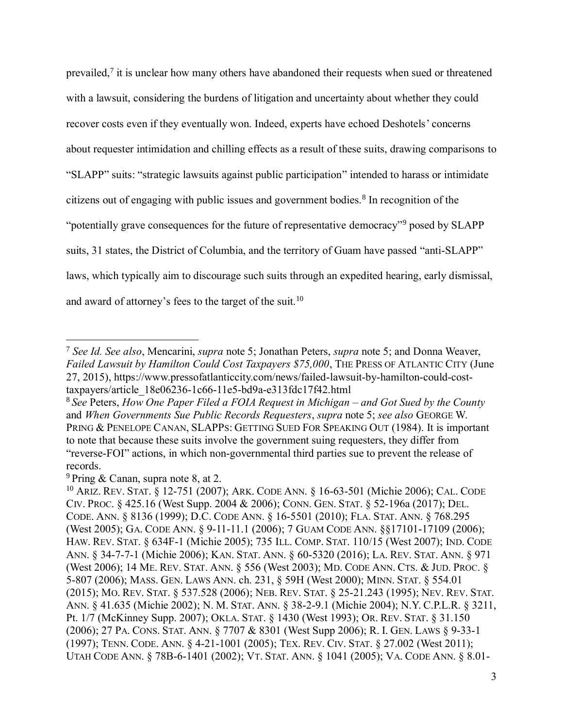<span id="page-2-1"></span><span id="page-2-0"></span>prevailed, $7$  it is unclear how many others have abandoned their requests when sued or threatened with a lawsuit, considering the burdens of litigation and uncertainty about whether they could recover costs even if they eventually won. Indeed, experts have echoed Deshotels' concerns about requester intimidation and chilling effects as a result of these suits, drawing comparisons to "SLAPP" suits: "strategic lawsuits against public participation" intended to harass or intimidate citizens out of engaging with public issues and government bodies.<sup>8</sup> In recognition of the "potentially grave consequences for the future of representative democracy"<sup>9</sup> posed by SLAPP suits, 31 states, the District of Columbia, and the territory of Guam have passed "anti-SLAPP" laws, which typically aim to discourage such suits through an expedited hearing, early dismissal, and award of attorney's fees to the target of the suit.<sup>10</sup>

<sup>7</sup> *See Id. See also*, Mencarini, *supra* note [5;](#page-1-0) Jonathan Peters, *supra* note [5;](#page-1-0) and Donna Weaver, *Failed Lawsuit by Hamilton Could Cost Taxpayers \$75,000*, THE PRESS OF ATLANTIC CITY (June 27, 2015), https://www.pressofatlanticcity.com/news/failed-lawsuit-by-hamilton-could-costtaxpayers/article\_18e06236-1c66-11e5-bd9a-e313fdc17f42.html

<sup>8</sup> *See* Peters, *How One Paper Filed a FOIA Request in Michigan – and Got Sued by the County* and *When Governments Sue Public Records Requesters*, *supra* note 5; *see also* GEORGE W. PRING & PENELOPE CANAN, SLAPPS: GETTING SUED FOR SPEAKING OUT (1984). It is important to note that because these suits involve the government suing requesters, they differ from "reverse-FOI" actions, in which non-governmental third parties sue to prevent the release of records.

<sup>9</sup> Pring & Canan, supra note [8,](#page-2-0) at 2.

<sup>10</sup> ARIZ. REV. STAT. § 12-751 (2007); ARK. CODE ANN. § 16-63-501 (Michie 2006); CAL. CODE CIV. PROC. § 425.16 (West Supp. 2004 & 2006); CONN. GEN. STAT. § 52-196a (2017); DEL. CODE. ANN. § 8136 (1999); D.C. CODE ANN. § 16-5501 (2010); FLA. STAT. ANN. § 768.295 (West 2005); GA. CODE ANN. § 9-11-11.1 (2006); 7 GUAM CODE ANN. §§17101-17109 (2006); HAW. REV. STAT. § 634F-1 (Michie 2005); 735 ILL. COMP. STAT. 110/15 (West 2007); IND. CODE ANN. § 34-7-7-1 (Michie 2006); KAN. STAT. ANN. § 60-5320 (2016); LA. REV. STAT. ANN. § 971 (West 2006); 14 ME. REV. STAT. ANN. § 556 (West 2003); MD. CODE ANN. CTS. & JUD. PROC. § 5-807 (2006); MASS. GEN. LAWS ANN. ch. 231, § 59H (West 2000); MINN. STAT. § 554.01 (2015); MO. REV. STAT. § 537.528 (2006); NEB. REV. STAT. § 25-21.243 (1995); NEV. REV. STAT. ANN. § 41.635 (Michie 2002); N. M. STAT. ANN. § 38-2-9.1 (Michie 2004); N.Y. C.P.L.R. § 3211, Pt. 1/7 (McKinney Supp. 2007); OKLA. STAT. § 1430 (West 1993); OR. REV. STAT. § 31.150 (2006); 27 PA. CONS. STAT. ANN. § 7707 & 8301 (West Supp 2006); R. I. GEN. LAWS § 9-33-1 (1997); TENN. CODE. ANN. § 4-21-1001 (2005); TEX. REV. CIV. STAT. § 27.002 (West 2011); UTAH CODE ANN. § 78B-6-1401 (2002); VT. STAT. ANN. § 1041 (2005); VA. CODE ANN. § 8.01-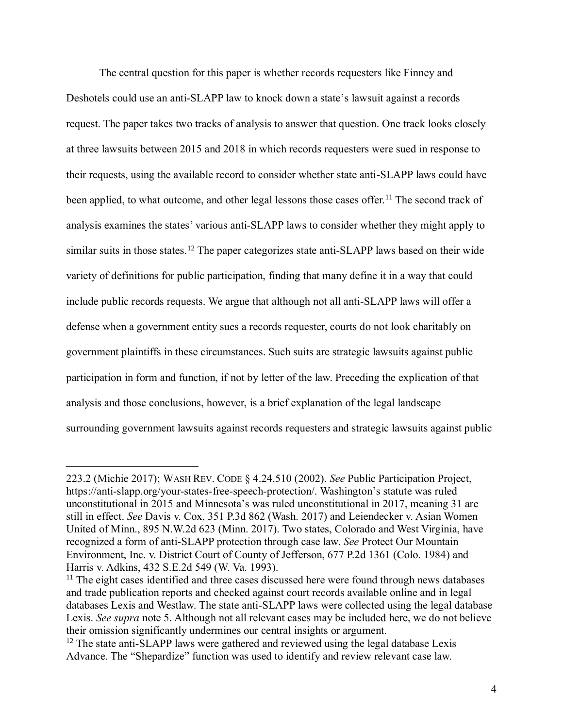The central question for this paper is whether records requesters like Finney and Deshotels could use an anti-SLAPP law to knock down a state's lawsuit against a records request. The paper takes two tracks of analysis to answer that question. One track looks closely at three lawsuits between 2015 and 2018 in which records requesters were sued in response to their requests, using the available record to consider whether state anti-SLAPP laws could have been applied, to what outcome, and other legal lessons those cases offer.<sup>11</sup> The second track of analysis examines the states' various anti-SLAPP laws to consider whether they might apply to similar suits in those states.<sup>12</sup> The paper categorizes state anti-SLAPP laws based on their wide variety of definitions for public participation, finding that many define it in a way that could include public records requests. We argue that although not all anti-SLAPP laws will offer a defense when a government entity sues a records requester, courts do not look charitably on government plaintiffs in these circumstances. Such suits are strategic lawsuits against public participation in form and function, if not by letter of the law. Preceding the explication of that analysis and those conclusions, however, is a brief explanation of the legal landscape surrounding government lawsuits against records requesters and strategic lawsuits against public

<sup>223.2 (</sup>Michie 2017); WASH REV. CODE § 4.24.510 (2002). *See* Public Participation Project, https://anti-slapp.org/your-states-free-speech-protection/. Washington's statute was ruled unconstitutional in 2015 and Minnesota's was ruled unconstitutional in 2017, meaning 31 are still in effect. *See* Davis v. Cox, 351 P.3d 862 (Wash. 2017) and Leiendecker v. Asian Women United of Minn., 895 N.W.2d 623 (Minn. 2017). Two states, Colorado and West Virginia, have recognized a form of anti-SLAPP protection through case law. *See* [Protect Our Mountain](https://advance.lexis.com/api/document/collection/cases/id/3RX4-15R0-003D-90P8-00000-00?cite=677%20P.2d%201361&context=1000516)  [Environment, Inc. v. District Court of County of Jefferson, 677 P.2d 1361 \(Colo. 1984\)](https://advance.lexis.com/api/document/collection/cases/id/3RX4-15R0-003D-90P8-00000-00?cite=677%20P.2d%201361&context=1000516) and Harris v. Adkins, 432 S.E.2d 549 (W. Va. 1993).

<sup>&</sup>lt;sup>11</sup> The eight cases identified and three cases discussed here were found through news databases and trade publication reports and checked against court records available online and in legal databases Lexis and Westlaw. The state anti-SLAPP laws were collected using the legal database Lexis. *See supra* note [5.](#page-1-0) Although not all relevant cases may be included here, we do not believe their omission significantly undermines our central insights or argument.

<sup>&</sup>lt;sup>12</sup> The state anti-SLAPP laws were gathered and reviewed using the legal database Lexis Advance. The "Shepardize" function was used to identify and review relevant case law.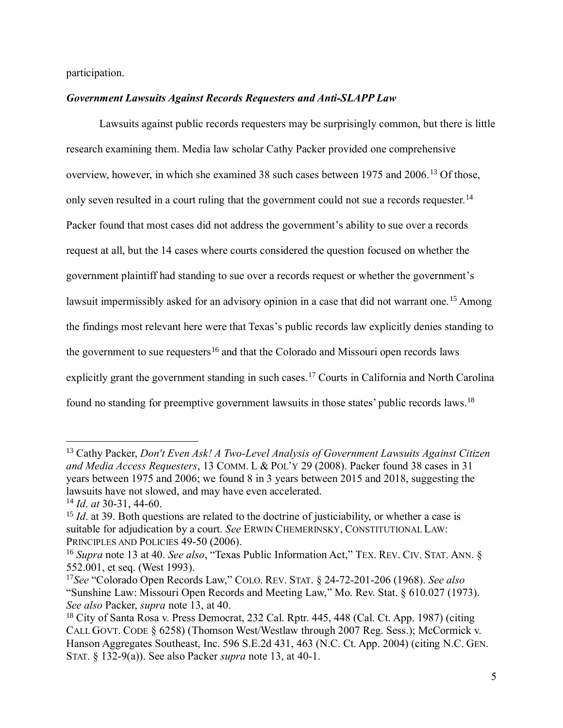participation.

### *Government Lawsuits Against Records Requesters and Anti-SLAPP Law*

<span id="page-4-0"></span>Lawsuits against public records requesters may be surprisingly common, but there is little research examining them. Media law scholar Cathy Packer provided one comprehensive overview, however, in which she examined 38 such cases between 1975 and 2006.<sup>13</sup> Of those, only seven resulted in a court ruling that the government could not sue a records requester.<sup>14</sup> Packer found that most cases did not address the government's ability to sue over a records request at all, but the 14 cases where courts considered the question focused on whether the government plaintiff had standing to sue over a records request or whether the government's lawsuit impermissibly asked for an advisory opinion in a case that did not warrant one.<sup>15</sup> Among the findings most relevant here were that Texas's public records law explicitly denies standing to the government to sue requesters<sup>16</sup> and that the Colorado and Missouri open records laws explicitly grant the government standing in such cases.<sup>17</sup> Courts in California and North Carolina found no standing for preemptive government lawsuits in those states' public records laws.<sup>18</sup>

<sup>13</sup> Cathy Packer, *Don't Even Ask! A Two-Level Analysis of Government Lawsuits Against Citizen and Media Access Requesters*, 13 COMM. L & POL'Y 29 (2008). Packer found 38 cases in 31 years between 1975 and 2006; we found 8 in 3 years between 2015 and 2018, suggesting the lawsuits have not slowed, and may have even accelerated.

<sup>14</sup> *Id*. *at* 30-31, 44-60.

<sup>&</sup>lt;sup>15</sup> *Id.* at 39. Both questions are related to the doctrine of justiciability, or whether a case is suitable for adjudication by a court. *See* ERWIN CHEMERINSKY, CONSTITUTIONAL LAW: PRINCIPLES AND POLICIES 49-50 (2006).

<sup>16</sup> *Supra* note [13](#page-4-0) at 40. *See also*, "Texas Public Information Act," TEX. REV. CIV. STAT. ANN. § 552.001, et seq. (West 1993).

<sup>17</sup>*See* "Colorado Open Records Law," COLO. REV. STAT. § 24-72-201-206 (1968). *See also* "Sunshine Law: Missouri Open Records and Meeting Law," Mo. Rev. Stat. § 610.027 (1973). *See also* Packer, *supra* note [13,](#page-4-0) at 40.

<sup>18</sup> City of Santa Rosa v. Press Democrat, 232 Cal. Rptr. 445, 448 (Cal. Ct. App. 1987) (citing CALL GOVT. CODE § 6258) (Thomson West/Westlaw through 2007 Reg. Sess.); McCormick v. Hanson Aggregates Southeast, Inc. 596 S.E.2d 431, 463 (N.C. Ct. App. 2004) (citing N.C. GEN. STAT. § 132-9(a)). See also Packer *supra* note [13,](#page-4-0) at 40-1.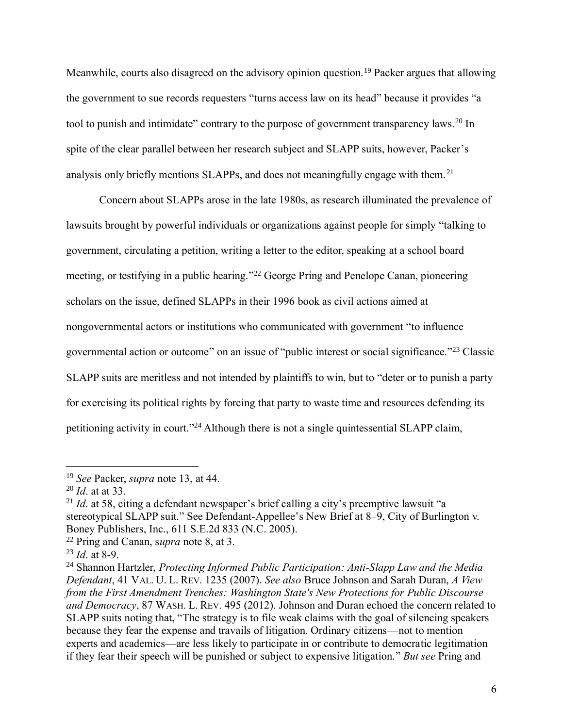Meanwhile, courts also disagreed on the advisory opinion question.<sup>19</sup> Packer argues that allowing the government to sue records requesters "turns access law on its head" because it provides "a tool to punish and intimidate" contrary to the purpose of government transparency laws.<sup>20</sup> In spite of the clear parallel between her research subject and SLAPP suits, however, Packer's analysis only briefly mentions SLAPPs, and does not meaningfully engage with them.<sup>21</sup>

Concern about SLAPPs arose in the late 1980s, as research illuminated the prevalence of lawsuits brought by powerful individuals or organizations against people for simply "talking to government, circulating a petition, writing a letter to the editor, speaking at a school board meeting, or testifying in a public hearing."<sup>22</sup> George Pring and Penelope Canan, pioneering scholars on the issue, defined SLAPPs in their 1996 book as civil actions aimed at nongovernmental actors or institutions who communicated with government "to influence governmental action or outcome" on an issue of "public interest or social significance." <sup>23</sup> Classic SLAPP suits are meritless and not intended by plaintiffs to win, but to "deter or to punish a party for exercising its political rights by forcing that party to waste time and resources defending its petitioning activity in court."<sup>24</sup> Although there is not a single quintessential SLAPP claim,

<span id="page-5-0"></span><sup>19</sup> *See* Packer, *supra* note [13,](#page-4-0) at 44.

<sup>20</sup> *Id*. at at 33.

<sup>&</sup>lt;sup>21</sup> *Id.* at 58, citing a defendant newspaper's brief calling a city's preemptive lawsuit "a stereotypical SLAPP suit." See Defendant-Appellee's New Brief at 8–9, City of Burlington v. Boney Publishers, Inc., 611 S.E.2d 833 (N.C. 2005).

<sup>22</sup> Pring and Canan, s*upra* note [8,](#page-2-0) at 3.

<sup>23</sup> *Id*. at 8-9.

<sup>24</sup> Shannon Hartzler, *Protecting Informed Public Participation: Anti-Slapp Law and the Media Defendant*, 41 VAL. U. L. REV. 1235 (2007). *See also* Bruce Johnson and Sarah Duran, *A View from the First Amendment Trenches: Washington State's New Protections for Public Discourse and Democracy*, 87 WASH. L. REV. 495 (2012). Johnson and Duran echoed the concern related to SLAPP suits noting that, "The strategy is to file weak claims with the goal of silencing speakers because they fear the expense and travails of litigation. Ordinary citizens—not to mention experts and academics—are less likely to participate in or contribute to democratic legitimation if they fear their speech will be punished or subject to expensive litigation." *But see* Pring and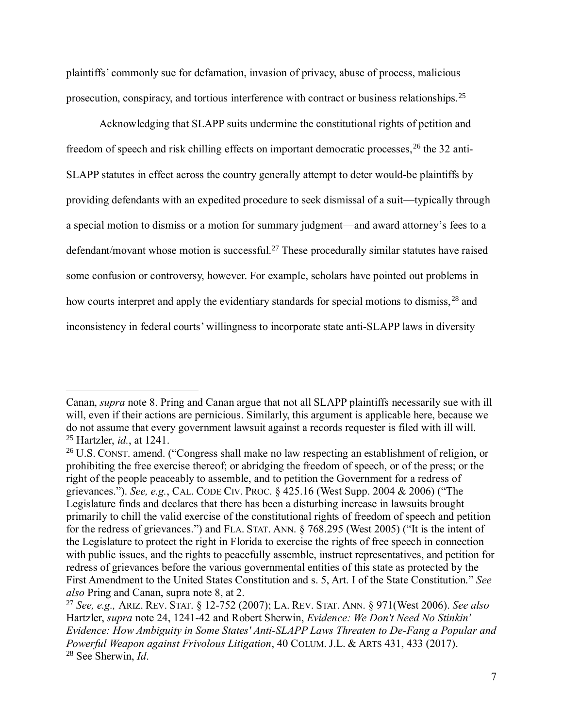plaintiffs' commonly sue for defamation, invasion of privacy, abuse of process, malicious prosecution, conspiracy, and tortious interference with contract or business relationships.<sup>25</sup>

Acknowledging that SLAPP suits undermine the constitutional rights of petition and freedom of speech and risk chilling effects on important democratic processes, <sup>26</sup> the 32 anti-SLAPP statutes in effect across the country generally attempt to deter would-be plaintiffs by providing defendants with an expedited procedure to seek dismissal of a suit—typically through a special motion to dismiss or a motion for summary judgment—and award attorney's fees to a defendant/movant whose motion is successful.<sup>27</sup> These procedurally similar statutes have raised some confusion or controversy, however. For example, scholars have pointed out problems in how courts interpret and apply the evidentiary standards for special motions to dismiss, <sup>28</sup> and inconsistency in federal courts' willingness to incorporate state anti-SLAPP laws in diversity

Canan, *supra* note [8.](#page-2-0) Pring and Canan argue that not all SLAPP plaintiffs necessarily sue with ill will, even if their actions are pernicious. Similarly, this argument is applicable here, because we do not assume that every government lawsuit against a records requester is filed with ill will. <sup>25</sup> Hartzler, *id.*, at 1241.

<sup>&</sup>lt;sup>26</sup> U.S. CONST. amend. ("Congress shall make no law respecting an establishment of religion, or prohibiting the free exercise thereof; or abridging the freedom of speech, or of the press; or the right of the people peaceably to assemble, and to petition the Government for a redress of grievances."). *See, e.g.*, CAL. CODE CIV. PROC. § 425.16 (West Supp. 2004 & 2006) ("The Legislature finds and declares that there has been a disturbing increase in lawsuits brought primarily to chill the valid exercise of the constitutional rights of freedom of speech and petition for the redress of grievances.") and FLA. STAT. ANN. § 768.295 (West 2005) ("It is the intent of the Legislature to protect the right in Florida to exercise the rights of free speech in connection with public issues, and the rights to peacefully assemble, instruct representatives, and petition for redress of grievances before the various governmental entities of this state as protected by the First Amendment to the United States Constitution and s. 5, Art. I of the State Constitution." *See also* Pring and Canan, supra note [8,](#page-2-0) at 2.

<sup>27</sup> *See, e.g.,* ARIZ. REV. STAT. § 12-752 (2007); LA. REV. STAT. ANN. § 971(West 2006). *See also* Hartzler, *supra* note [24,](#page-5-0) 1241-42 and Robert Sherwin, *Evidence: We Don't Need No Stinkin' Evidence: How Ambiguity in Some States' Anti-SLAPP Laws Threaten to De-Fang a Popular and Powerful Weapon against Frivolous Litigation*, 40 COLUM. J.L. & ARTS 431, 433 (2017). <sup>28</sup> See Sherwin, *Id*.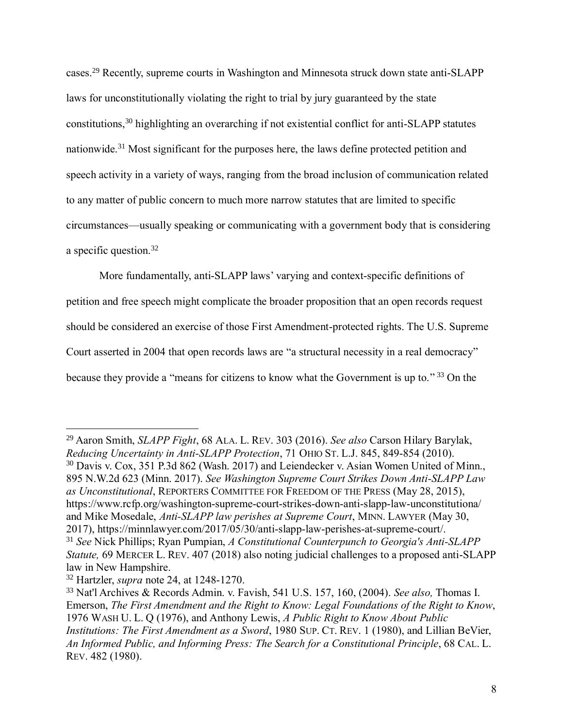cases.<sup>29</sup> Recently, supreme courts in Washington and Minnesota struck down state anti-SLAPP laws for unconstitutionally violating the right to trial by jury guaranteed by the state constitutions, <sup>30</sup> highlighting an overarching if not existential conflict for anti-SLAPP statutes nationwide.<sup>31</sup> Most significant for the purposes here, the laws define protected petition and speech activity in a variety of ways, ranging from the broad inclusion of communication related to any matter of public concern to much more narrow statutes that are limited to specific circumstances—usually speaking or communicating with a government body that is considering a specific question.<sup>32</sup>

More fundamentally, anti-SLAPP laws' varying and context-specific definitions of petition and free speech might complicate the broader proposition that an open records request should be considered an exercise of those First Amendment-protected rights. The U.S. Supreme Court asserted in 2004 that open records laws are "a structural necessity in a real democracy" because they provide a "means for citizens to know what the Government is up to."<sup>33</sup> On the

law in New Hampshire.

<span id="page-7-0"></span><sup>29</sup> Aaron Smith, *SLAPP Fight*, 68 ALA. L. REV. 303 (2016). *See also* Carson Hilary Barylak, *Reducing Uncertainty in Anti-SLAPP Protection*, 71 OHIO ST. L.J. 845, 849-854 (2010). <sup>30</sup> Davis v. Cox, 351 P.3d 862 (Wash. 2017) and Leiendecker v. Asian Women United of Minn., 895 N.W.2d 623 (Minn. 2017). *See Washington Supreme Court Strikes Down Anti-SLAPP Law as Unconstitutional*, REPORTERS COMMITTEE FOR FREEDOM OF THE PRESS (May 28, 2015), <https://www.rcfp.org/washington-supreme-court-strikes-down-anti-slapp-law-unconstitutiona/> and Mike Mosedale, *Anti-SLAPP law perishes at Supreme Court*, MINN. LAWYER (May 30, 2017), https://minnlawyer.com/2017/05/30/anti-slapp-law-perishes-at-supreme-court/. <sup>31</sup> *See* Nick Phillips; Ryan Pumpian, *A Constitutional Counterpunch to Georgia's Anti-SLAPP Statute,* 69 MERCER L. REV. 407 (2018) also noting judicial challenges to a proposed anti-SLAPP

<sup>32</sup> Hartzler, *supra* note [24,](#page-5-0) at 1248-1270.

<sup>33</sup> Nat'l Archives & Records Admin. v. Favish, 541 U.S. 157, 160, (2004). *See also,* Thomas I. Emerson, *The First Amendment and the Right to Know: Legal Foundations of the Right to Know*, 1976 WASH U. L. Q (1976), and Anthony Lewis, *A Public Right to Know About Public Institutions: The First Amendment as a Sword*, 1980 SUP. CT. REV. 1 (1980), and Lillian BeVier, *An Informed Public, and Informing Press: The Search for a Constitutional Principle*, 68 CAL. L. REV. 482 (1980).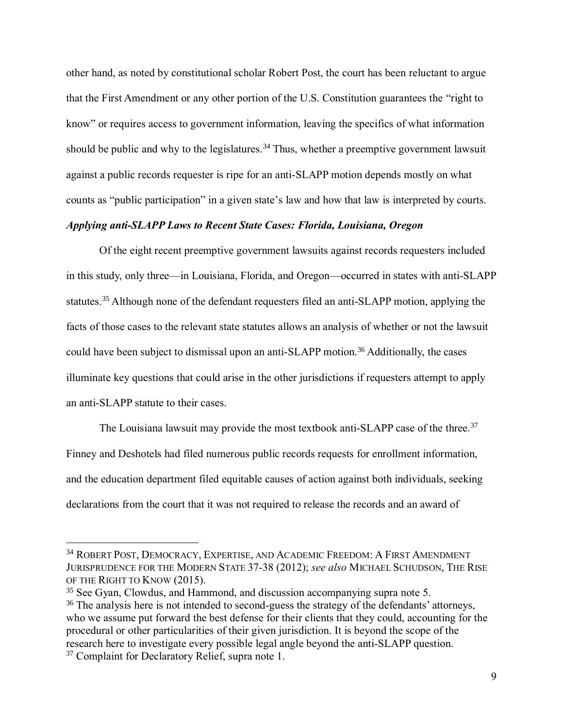<span id="page-8-0"></span>other hand, as noted by constitutional scholar Robert Post, the court has been reluctant to argue that the First Amendment or any other portion of the U.S. Constitution guarantees the "right to know" or requires access to government information, leaving the specifics of what information should be public and why to the legislatures.<sup>34</sup> Thus, whether a preemptive government lawsuit against a public records requester is ripe for an anti-SLAPP motion depends mostly on what counts as "public participation" in a given state's law and how that law is interpreted by courts.

## *Applying anti-SLAPP Laws to Recent State Cases: Florida, Louisiana, Oregon*

Of the eight recent preemptive government lawsuits against records requesters included in this study, only three—in Louisiana, Florida, and Oregon—occurred in states with anti-SLAPP statutes.<sup>35</sup> Although none of the defendant requesters filed an anti-SLAPP motion, applying the facts of those cases to the relevant state statutes allows an analysis of whether or not the lawsuit could have been subject to dismissal upon an anti-SLAPP motion.<sup>36</sup> Additionally, the cases illuminate key questions that could arise in the other jurisdictions if requesters attempt to apply an anti-SLAPP statute to their cases.

The Louisiana lawsuit may provide the most textbook anti-SLAPP case of the three.<sup>37</sup> Finney and Deshotels had filed numerous public records requests for enrollment information, and the education department filed equitable causes of action against both individuals, seeking declarations from the court that it was not required to release the records and an award of

<sup>34</sup> ROBERT POST, DEMOCRACY, EXPERTISE, AND ACADEMIC FREEDOM: A FIRST AMENDMENT JURISPRUDENCE FOR THE MODERN STATE 37-38 (2012); *see also* MICHAEL SCHUDSON, THE RISE OF THE RIGHT TO KNOW (2015).

<sup>35</sup> See Gyan, Clowdus, and Hammond, and discussion accompanying supra note [5.](#page-1-0)

<sup>&</sup>lt;sup>36</sup> The analysis here is not intended to second-guess the strategy of the defendants' attorneys, who we assume put forward the best defense for their clients that they could, accounting for the procedural or other particularities of their given jurisdiction. It is beyond the scope of the research here to investigate every possible legal angle beyond the anti-SLAPP question. <sup>37</sup> Complaint for Declaratory Relief, supra note [1.](#page-0-0)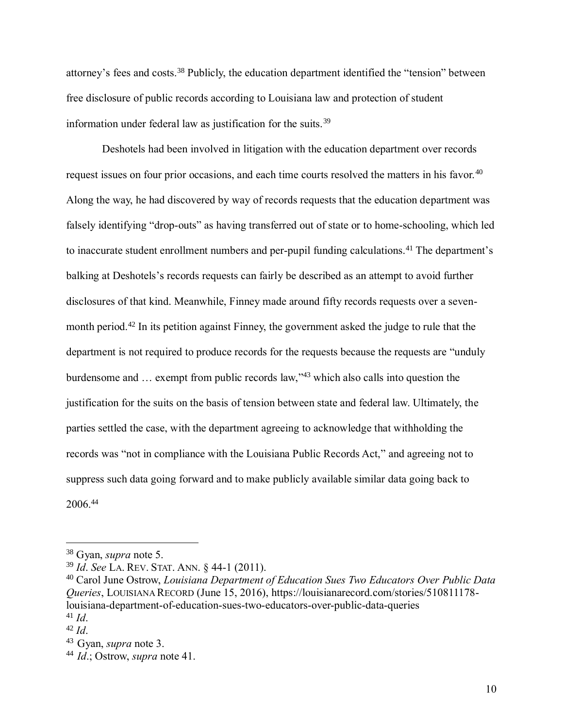attorney's fees and costs.<sup>38</sup> Publicly, the education department identified the "tension" between free disclosure of public records according to Louisiana law and protection of student information under federal law as justification for the suits.<sup>39</sup>

Deshotels had been involved in litigation with the education department over records request issues on four prior occasions, and each time courts resolved the matters in his favor.<sup>40</sup> Along the way, he had discovered by way of records requests that the education department was falsely identifying "drop-outs" as having transferred out of state or to home-schooling, which led to inaccurate student enrollment numbers and per-pupil funding calculations.<sup>41</sup> The department's balking at Deshotels's records requests can fairly be described as an attempt to avoid further disclosures of that kind. Meanwhile, Finney made around fifty records requests over a sevenmonth period.<sup>42</sup> In its petition against Finney, the government asked the judge to rule that the department is not required to produce records for the requests because the requests are "unduly burdensome and … exempt from public records law," <sup>43</sup> which also calls into question the justification for the suits on the basis of tension between state and federal law. Ultimately, the parties settled the case, with the department agreeing to acknowledge that withholding the records was "not in compliance with the Louisiana Public Records Act," and agreeing not to suppress such data going forward and to make publicly available similar data going back to 2006.<sup>44</sup>

<sup>38</sup> Gyan, *supra* note [5.](#page-1-0)

<sup>39</sup> *Id*. *See* LA. REV. STAT. ANN. § 44-1 (2011).

<sup>40</sup> Carol June Ostrow, *Louisiana Department of Education Sues Two Educators Over Public Data Queries*, LOUISIANA RECORD (June 15, 2016), https://louisianarecord.com/stories/510811178 louisiana-department-of-education-sues-two-educators-over-public-data-queries <sup>41</sup> *Id*.

<sup>42</sup> *Id*.

<sup>43</sup>Gyan, *supra* note [3.](#page-0-1)

<sup>44</sup> *Id*.; Ostrow, *supra* note 41.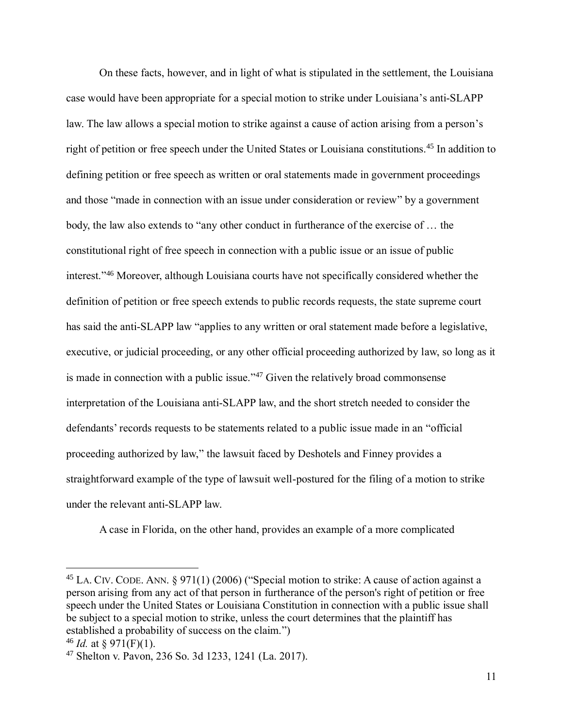On these facts, however, and in light of what is stipulated in the settlement, the Louisiana case would have been appropriate for a special motion to strike under Louisiana's anti-SLAPP law. The law allows a special motion to strike against a cause of action arising from a person's right of petition or free speech under the United States or Louisiana constitutions.<sup>45</sup> In addition to defining petition or free speech as written or oral statements made in government proceedings and those "made in connection with an issue under consideration or review" by a government body, the law also extends to "any other conduct in furtherance of the exercise of … the constitutional right of free speech in connection with a public issue or an issue of public interest." <sup>46</sup> Moreover, although Louisiana courts have not specifically considered whether the definition of petition or free speech extends to public records requests, the state supreme court has said the anti-SLAPP law "applies to any written or oral statement made before a legislative, executive, or judicial proceeding, or any other official proceeding authorized by law, so long as it is made in connection with a public issue."<sup>47</sup> Given the relatively broad commonsense interpretation of the Louisiana anti-SLAPP law, and the short stretch needed to consider the defendants' records requests to be statements related to a public issue made in an "official proceeding authorized by law," the lawsuit faced by Deshotels and Finney provides a straightforward example of the type of lawsuit well-postured for the filing of a motion to strike under the relevant anti-SLAPP law.

A case in Florida, on the other hand, provides an example of a more complicated

<sup>45</sup> LA. CIV. CODE. ANN. § 971(1) (2006) ("Special motion to strike: A cause of action against a person arising from any act of that person in furtherance of the person's right of petition or free speech under the United States or Louisiana Constitution in connection with a public issue shall be subject to a special motion to strike, unless the court determines that the plaintiff has established a probability of success on the claim.")

<sup>&</sup>lt;sup>46</sup> *Id.* at § 971(F)(1).

<sup>47</sup> Shelton v. Pavon, 236 So. 3d 1233, 1241 (La. 2017).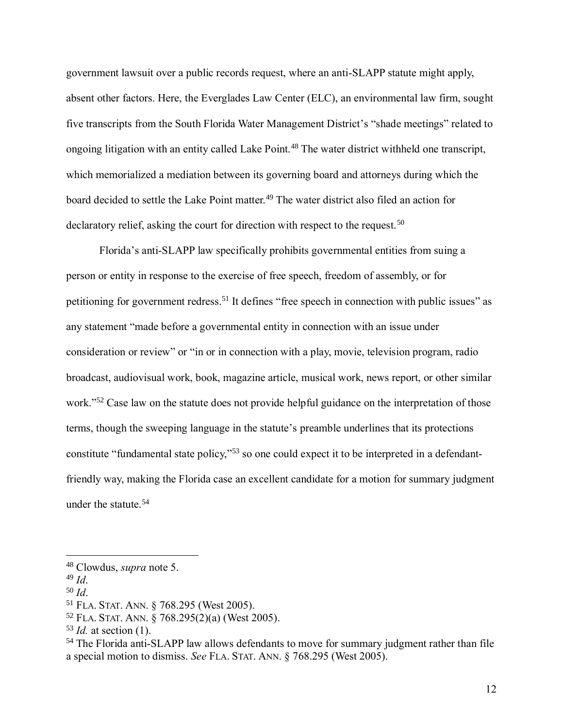government lawsuit over a public records request, where an anti-SLAPP statute might apply, absent other factors. Here, the Everglades Law Center (ELC), an environmental law firm, sought five transcripts from the South Florida Water Management District's "shade meetings" related to ongoing litigation with an entity called Lake Point.<sup>48</sup> The water district withheld one transcript, which memorialized a mediation between its governing board and attorneys during which the board decided to settle the Lake Point matter.<sup>49</sup> The water district also filed an action for declaratory relief, asking the court for direction with respect to the request.<sup>50</sup>

Florida's anti-SLAPP law specifically prohibits governmental entities from suing a person or entity in response to the exercise of free speech, freedom of assembly, or for petitioning for government redress.<sup>51</sup> It defines "free speech in connection with public issues" as any statement "made before a governmental entity in connection with an issue under consideration or review" or "in or in connection with a play, movie, television program, radio broadcast, audiovisual work, book, magazine article, musical work, news report, or other similar work."<sup>52</sup> Case law on the statute does not provide helpful guidance on the interpretation of those terms, though the sweeping language in the statute's preamble underlines that its protections constitute "fundamental state policy," <sup>53</sup> so one could expect it to be interpreted in a defendantfriendly way, making the Florida case an excellent candidate for a motion for summary judgment under the statute.<sup>54</sup>

<sup>48</sup> Clowdus, *supra* note [5.](#page-1-0)

<sup>49</sup> *Id*.

<sup>50</sup> *Id*.

<sup>51</sup> FLA. STAT. ANN. § 768.295 (West 2005).

<sup>52</sup> FLA. STAT. ANN. § 768.295(2)(a) (West 2005).

<sup>53</sup> *Id.* at section (1).

<sup>54</sup> The Florida anti-SLAPP law allows defendants to move for summary judgment rather than file a special motion to dismiss. *See* FLA. STAT. ANN. § 768.295 (West 2005).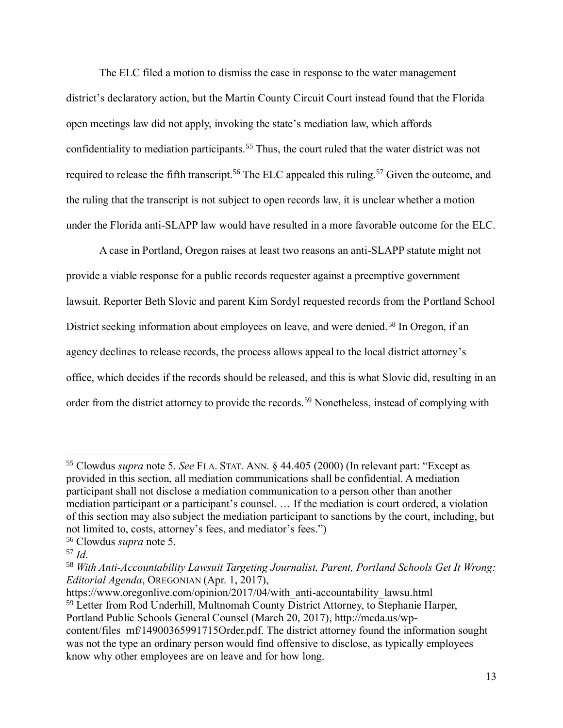The ELC filed a motion to dismiss the case in response to the water management district's declaratory action, but the Martin County Circuit Court instead found that the Florida open meetings law did not apply, invoking the state's mediation law, which affords confidentiality to mediation participants.<sup>55</sup> Thus, the court ruled that the water district was not required to release the fifth transcript.<sup>56</sup> The ELC appealed this ruling.<sup>57</sup> Given the outcome, and the ruling that the transcript is not subject to open records law, it is unclear whether a motion under the Florida anti-SLAPP law would have resulted in a more favorable outcome for the ELC.

A case in Portland, Oregon raises at least two reasons an anti-SLAPP statute might not provide a viable response for a public records requester against a preemptive government lawsuit. Reporter Beth Slovic and parent Kim Sordyl requested records from the Portland School District seeking information about employees on leave, and were denied.<sup>58</sup> In Oregon, if an agency declines to release records, the process allows appeal to the local district attorney's office, which decides if the records should be released, and this is what Slovic did, resulting in an order from the district attorney to provide the records.<sup>59</sup> Nonetheless, instead of complying with

 $\overline{a}$ 

https://www.oregonlive.com/opinion/2017/04/with\_anti-accountability\_lawsu.html <sup>59</sup> Letter from Rod Underhill, Multnomah County District Attorney, to Stephanie Harper, Portland Public Schools General Counsel (March 20, 2017), [http://mcda.us/wp](http://mcda.us/wp-content/files_mf/14900365991715Order.pdf)[content/files\\_mf/14900365991715Order.pdf.](http://mcda.us/wp-content/files_mf/14900365991715Order.pdf) The district attorney found the information sought was not the type an ordinary person would find offensive to disclose, as typically employees know why other employees are on leave and for how long.

<sup>55</sup> Clowdus *supra* note [5.](#page-1-0) *See* FLA. STAT. ANN. § 44.405 (2000) (In relevant part: "Except as provided in this section, all mediation communications shall be confidential. A mediation participant shall not disclose a mediation communication to a person other than another mediation participant or a participant's counsel. … If the mediation is court ordered, a violation of this section may also subject the mediation participant to sanctions by the court, including, but not limited to, costs, attorney's fees, and mediator's fees.")

<sup>56</sup> Clowdus *supra* note [5.](#page-1-0)

<sup>57</sup> *Id*.

<sup>58</sup> *With Anti-Accountability Lawsuit Targeting Journalist, Parent, Portland Schools Get It Wrong: Editorial Agenda*, OREGONIAN (Apr. 1, 2017),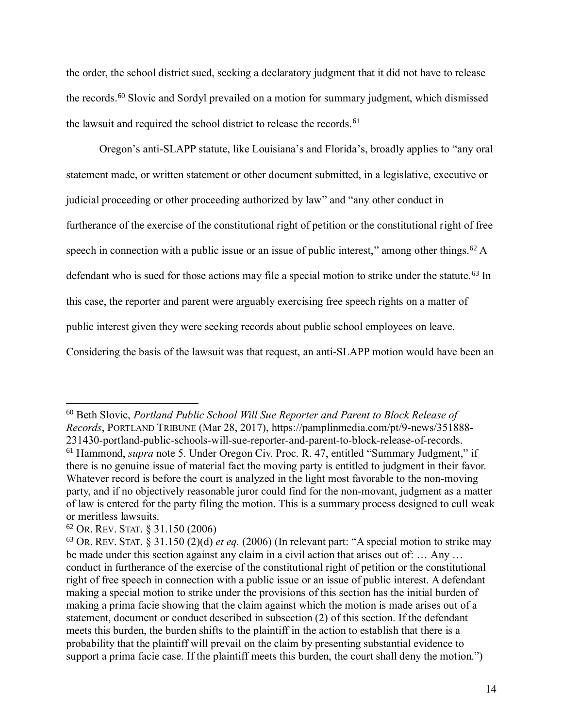the order, the school district sued, seeking a declaratory judgment that it did not have to release the records.<sup>60</sup> Slovic and Sordyl prevailed on a motion for summary judgment, which dismissed the lawsuit and required the school district to release the records.<sup>61</sup>

Oregon's anti-SLAPP statute, like Louisiana's and Florida's, broadly applies to "any oral statement made, or written statement or other document submitted, in a legislative, executive or judicial proceeding or other proceeding authorized by law" and "any other conduct in furtherance of the exercise of the constitutional right of petition or the constitutional right of free speech in connection with a public issue or an issue of public interest," among other things.<sup>62</sup> A defendant who is sued for those actions may file a special motion to strike under the statute.<sup>63</sup> In this case, the reporter and parent were arguably exercising free speech rights on a matter of public interest given they were seeking records about public school employees on leave. Considering the basis of the lawsuit was that request, an anti-SLAPP motion would have been an

<sup>60</sup> Beth Slovic, *Portland Public School Will Sue Reporter and Parent to Block Release of Records*, PORTLAND TRIBUNE (Mar 28, 2017), https://pamplinmedia.com/pt/9-news/351888- 231430-portland-public-schools-will-sue-reporter-and-parent-to-block-release-of-records. <sup>61</sup> Hammond, *supra* note [5.](#page-1-0) Under Oregon Civ. Proc. R. 47, entitled "Summary Judgment," if there is no genuine issue of material fact the moving party is entitled to judgment in their favor. Whatever record is before the court is analyzed in the light most favorable to the non-moving party, and if no objectively reasonable juror could find for the non-movant, judgment as a matter of law is entered for the party filing the motion. This is a summary process designed to cull weak or meritless lawsuits.

<sup>62</sup> OR. REV. STAT. § 31.150 (2006)

<sup>63</sup> OR. REV. STAT. § 31.150 (2)(d) *et eq.* (2006) (In relevant part: "A special motion to strike may be made under this section against any claim in a civil action that arises out of: … Any … conduct in furtherance of the exercise of the constitutional right of petition or the constitutional right of free speech in connection with a public issue or an issue of public interest. A defendant making a special motion to strike under the provisions of this section has the initial burden of making a prima facie showing that the claim against which the motion is made arises out of a statement, document or conduct described in subsection (2) of this section. If the defendant meets this burden, the burden shifts to the plaintiff in the action to establish that there is a probability that the plaintiff will prevail on the claim by presenting substantial evidence to support a prima facie case. If the plaintiff meets this burden, the court shall deny the motion.")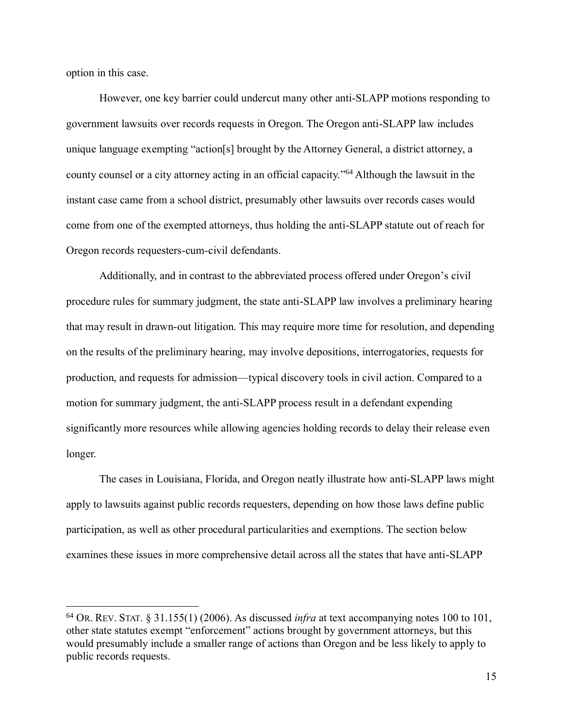option in this case.

 $\overline{a}$ 

However, one key barrier could undercut many other anti-SLAPP motions responding to government lawsuits over records requests in Oregon. The Oregon anti-SLAPP law includes unique language exempting "action[s] brought by the Attorney General, a district attorney, a county counsel or a city attorney acting in an official capacity." <sup>64</sup> Although the lawsuit in the instant case came from a school district, presumably other lawsuits over records cases would come from one of the exempted attorneys, thus holding the anti-SLAPP statute out of reach for Oregon records requesters-cum-civil defendants.

Additionally, and in contrast to the abbreviated process offered under Oregon's civil procedure rules for summary judgment, the state anti-SLAPP law involves a preliminary hearing that may result in drawn-out litigation. This may require more time for resolution, and depending on the results of the preliminary hearing, may involve depositions, interrogatories, requests for production, and requests for admission—typical discovery tools in civil action. Compared to a motion for summary judgment, the anti-SLAPP process result in a defendant expending significantly more resources while allowing agencies holding records to delay their release even longer.

The cases in Louisiana, Florida, and Oregon neatly illustrate how anti-SLAPP laws might apply to lawsuits against public records requesters, depending on how those laws define public participation, as well as other procedural particularities and exemptions. The section below examines these issues in more comprehensive detail across all the states that have anti-SLAPP

<sup>64</sup> OR. REV. STAT. § 31.155(1) (2006). As discussed *infra* at text accompanying notes [100](#page-23-0) to [101,](#page-23-1) other state statutes exempt "enforcement" actions brought by government attorneys, but this would presumably include a smaller range of actions than Oregon and be less likely to apply to public records requests.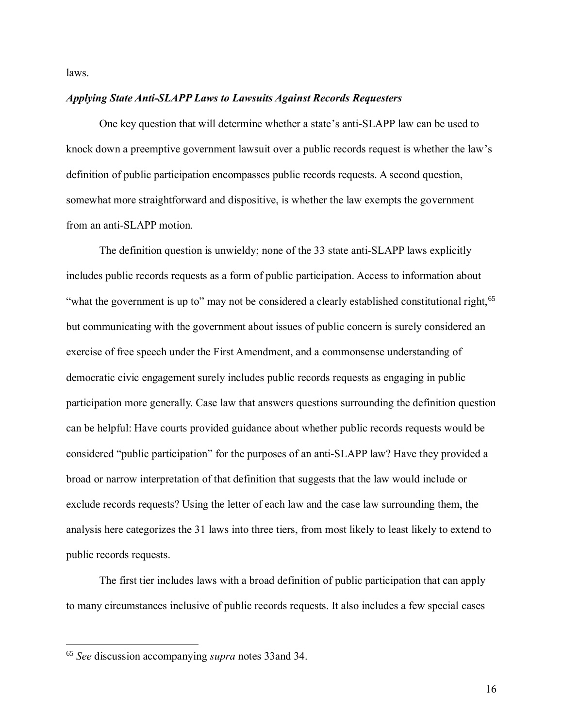laws.

### *Applying State Anti-SLAPP Laws to Lawsuits Against Records Requesters*

One key question that will determine whether a state's anti-SLAPP law can be used to knock down a preemptive government lawsuit over a public records request is whether the law's definition of public participation encompasses public records requests. A second question, somewhat more straightforward and dispositive, is whether the law exempts the government from an anti-SLAPP motion.

The definition question is unwieldy; none of the 33 state anti-SLAPP laws explicitly includes public records requests as a form of public participation. Access to information about "what the government is up to" may not be considered a clearly established constitutional right,<sup>65</sup> but communicating with the government about issues of public concern is surely considered an exercise of free speech under the First Amendment, and a commonsense understanding of democratic civic engagement surely includes public records requests as engaging in public participation more generally. Case law that answers questions surrounding the definition question can be helpful: Have courts provided guidance about whether public records requests would be considered "public participation" for the purposes of an anti-SLAPP law? Have they provided a broad or narrow interpretation of that definition that suggests that the law would include or exclude records requests? Using the letter of each law and the case law surrounding them, the analysis here categorizes the 31 laws into three tiers, from most likely to least likely to extend to public records requests.

The first tier includes laws with a broad definition of public participation that can apply to many circumstances inclusive of public records requests. It also includes a few special cases

<sup>65</sup> *See* discussion accompanying *supra* notes [33a](#page-7-0)nd [34.](#page-8-0)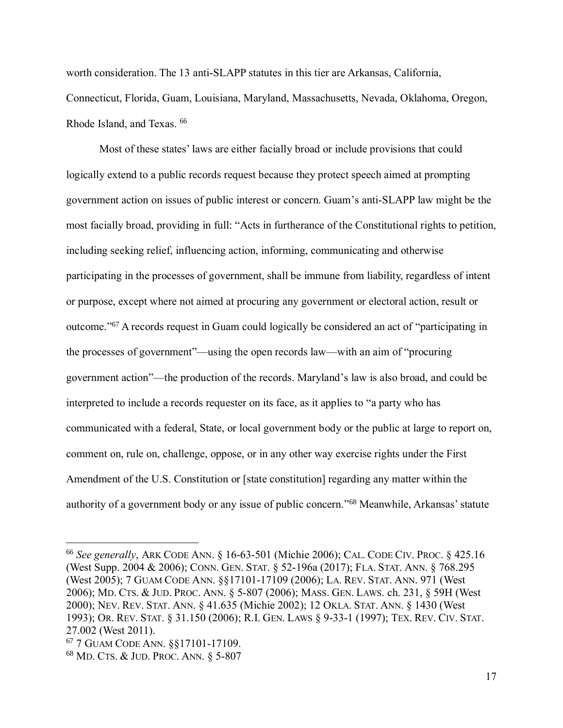worth consideration. The 13 anti-SLAPP statutes in this tier are Arkansas, California, Connecticut, Florida, Guam, Louisiana, Maryland, Massachusetts, Nevada, Oklahoma, Oregon, Rhode Island, and Texas. <sup>66</sup>

Most of these states' laws are either facially broad or include provisions that could logically extend to a public records request because they protect speech aimed at prompting government action on issues of public interest or concern. Guam's anti-SLAPP law might be the most facially broad, providing in full: "Acts in furtherance of the Constitutional rights to petition, including seeking relief, influencing action, informing, communicating and otherwise participating in the processes of government, shall be immune from liability, regardless of intent or purpose, except where not aimed at procuring any government or electoral action, result or outcome." <sup>67</sup> A records request in Guam could logically be considered an act of "participating in the processes of government"—using the open records law—with an aim of "procuring government action"—the production of the records. Maryland's law is also broad, and could be interpreted to include a records requester on its face, as it applies to "a party who has communicated with a federal, State, or local government body or the public at large to report on, comment on, rule on, challenge, oppose, or in any other way exercise rights under the First Amendment of the U.S. Constitution or [state constitution] regarding any matter within the authority of a government body or any issue of public concern."<sup>68</sup> Meanwhile, Arkansas' statute

<sup>66</sup> *See generally*, ARK CODE ANN. § 16-63-501 (Michie 2006); CAL. CODE CIV. PROC. § 425.16 (West Supp. 2004 & 2006); CONN. GEN. STAT. § 52-196a (2017); FLA. STAT. ANN. § 768.295 (West 2005); 7 GUAM CODE ANN. §§17101-17109 (2006); LA. REV. STAT. ANN. 971 (West 2006); MD. CTS. & JUD. PROC. ANN. § 5-807 (2006); MASS. GEN. LAWS. ch. 231, § 59H (West 2000); NEV. REV. STAT. ANN. § 41.635 (Michie 2002); 12 OKLA. STAT. ANN. § 1430 (West 1993); OR. REV. STAT. § 31.150 (2006); R.I. GEN. LAWS § 9-33-1 (1997); TEX. REV. CIV. STAT. 27.002 (West 2011).

<sup>67</sup> 7 GUAM CODE ANN. §§17101-17109.

<sup>68</sup> MD. CTS. & JUD. PROC. ANN. § 5-807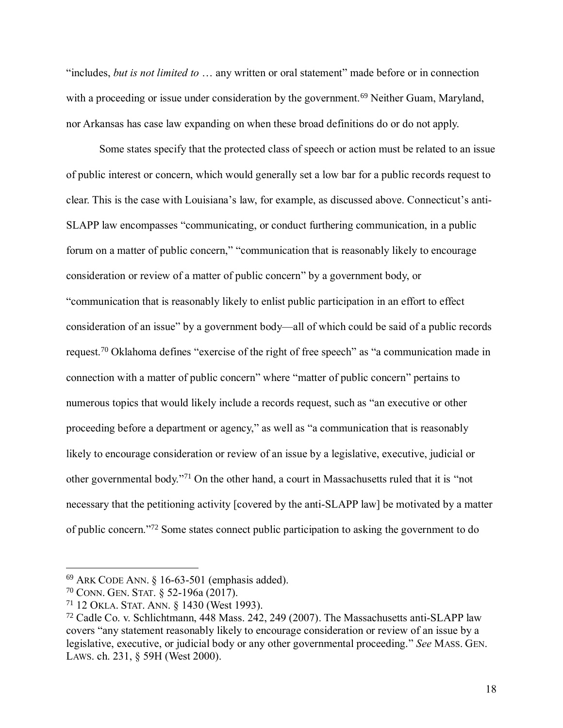"includes, *but is not limited to* … any written or oral statement" made before or in connection with a proceeding or issue under consideration by the government.<sup>69</sup> Neither Guam, Maryland, nor Arkansas has case law expanding on when these broad definitions do or do not apply.

Some states specify that the protected class of speech or action must be related to an issue of public interest or concern, which would generally set a low bar for a public records request to clear. This is the case with Louisiana's law, for example, as discussed above. Connecticut's anti-SLAPP law encompasses "communicating, or conduct furthering communication, in a public forum on a matter of public concern," "communication that is reasonably likely to encourage consideration or review of a matter of public concern" by a government body, or "communication that is reasonably likely to enlist public participation in an effort to effect consideration of an issue" by a government body—all of which could be said of a public records request.<sup>70</sup> Oklahoma defines "exercise of the right of free speech" as "a communication made in connection with a matter of public concern" where "matter of public concern" pertains to numerous topics that would likely include a records request, such as "an executive or other proceeding before a department or agency," as well as "a communication that is reasonably likely to encourage consideration or review of an issue by a legislative, executive, judicial or other governmental body." <sup>71</sup> On the other hand, a court in Massachusetts ruled that it is "not necessary that the petitioning activity [covered by the anti-SLAPP law] be motivated by a matter of public concern."<sup>72</sup> Some states connect public participation to asking the government to do

<sup>69</sup> ARK CODE ANN. § 16-63-501 (emphasis added).

<sup>70</sup> CONN. GEN. STAT. § 52-196a (2017).

<sup>71</sup> 12 OKLA. STAT. ANN. § 1430 (West 1993).

<sup>72</sup> Cadle Co. v. Schlichtmann, 448 Mass. 242, 249 (2007). The Massachusetts anti-SLAPP law covers "any statement reasonably likely to encourage consideration or review of an issue by a legislative, executive, or judicial body or any other governmental proceeding." *See* MASS. GEN. LAWS. ch. 231, § 59H (West 2000).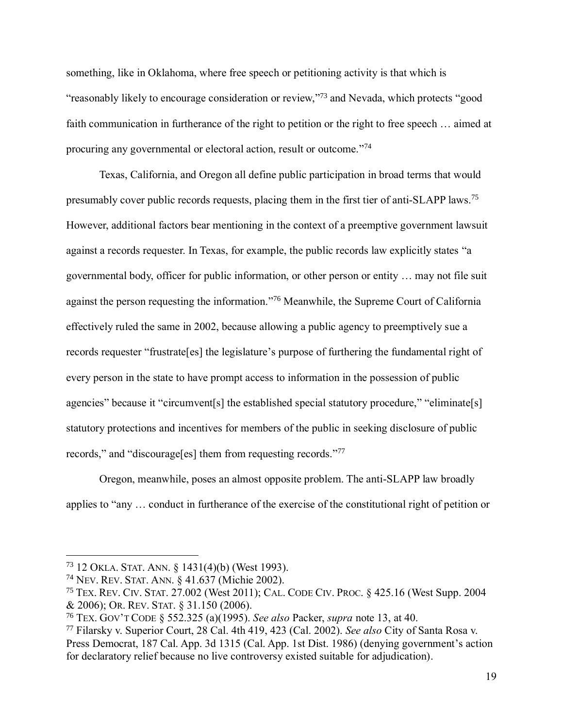something, like in Oklahoma, where free speech or petitioning activity is that which is "reasonably likely to encourage consideration or review,"<sup>73</sup> and Nevada, which protects "good faith communication in furtherance of the right to petition or the right to free speech … aimed at procuring any governmental or electoral action, result or outcome."74

Texas, California, and Oregon all define public participation in broad terms that would presumably cover public records requests, placing them in the first tier of anti-SLAPP laws.<sup>75</sup> However, additional factors bear mentioning in the context of a preemptive government lawsuit against a records requester. In Texas, for example, the public records law explicitly states "a governmental body, officer for public information, or other person or entity … may not file suit against the person requesting the information." <sup>76</sup> Meanwhile, the Supreme Court of California effectively ruled the same in 2002, because allowing a public agency to preemptively sue a records requester "frustrate[es] the legislature's purpose of furthering the fundamental right of every person in the state to have prompt access to information in the possession of public agencies" because it "circumvent[s] the established special statutory procedure," "eliminate[s] statutory protections and incentives for members of the public in seeking disclosure of public records," and "discourage[es] them from requesting records." 77

Oregon, meanwhile, poses an almost opposite problem. The anti-SLAPP law broadly applies to "any … conduct in furtherance of the exercise of the constitutional right of petition or

<sup>73</sup> 12 OKLA. STAT. ANN. § 1431(4)(b) (West 1993).

<sup>74</sup> NEV. REV. STAT. ANN. § 41.637 (Michie 2002).

<sup>75</sup> TEX. REV. CIV. STAT. 27.002 (West 2011); CAL. CODE CIV. PROC. § 425.16 (West Supp. 2004 & 2006); OR. REV. STAT. § 31.150 (2006).

<sup>76</sup> TEX. GOV'T CODE § 552.325 (a)(1995). *See also* Packer, *supra* note [13,](#page-4-0) at 40.

<sup>77</sup> Filarsky v. Superior Court, 28 Cal. 4th 419, 423 (Cal. 2002). *See also* City of Santa Rosa v. Press Democrat, 187 Cal. App. 3d 1315 (Cal. App. 1st Dist. 1986) (denying government's action for declaratory relief because no live controversy existed suitable for adjudication).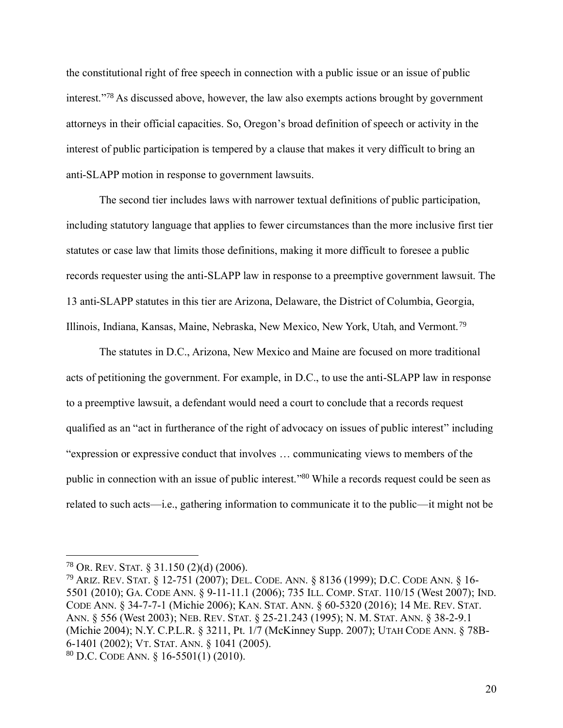the constitutional right of free speech in connection with a public issue or an issue of public interest." <sup>78</sup> As discussed above, however, the law also exempts actions brought by government attorneys in their official capacities. So, Oregon's broad definition of speech or activity in the interest of public participation is tempered by a clause that makes it very difficult to bring an anti-SLAPP motion in response to government lawsuits.

The second tier includes laws with narrower textual definitions of public participation, including statutory language that applies to fewer circumstances than the more inclusive first tier statutes or case law that limits those definitions, making it more difficult to foresee a public records requester using the anti-SLAPP law in response to a preemptive government lawsuit. The 13 anti-SLAPP statutes in this tier are Arizona, Delaware, the District of Columbia, Georgia, Illinois, Indiana, Kansas, Maine, Nebraska, New Mexico, New York, Utah, and Vermont.<sup>79</sup>

The statutes in D.C., Arizona, New Mexico and Maine are focused on more traditional acts of petitioning the government. For example, in D.C., to use the anti-SLAPP law in response to a preemptive lawsuit, a defendant would need a court to conclude that a records request qualified as an "act in furtherance of the right of advocacy on issues of public interest" including "expression or expressive conduct that involves … communicating views to members of the public in connection with an issue of public interest."<sup>80</sup> While a records request could be seen as related to such acts—i.e., gathering information to communicate it to the public—it might not be

<sup>78</sup> OR. REV. STAT. § 31.150 (2)(d) (2006).

<sup>79</sup> ARIZ. REV. STAT. § 12-751 (2007); DEL. CODE. ANN. § 8136 (1999); D.C. CODE ANN. § 16- 5501 (2010); GA. CODE ANN. § 9-11-11.1 (2006); 735 ILL. COMP. STAT. 110/15 (West 2007); IND. CODE ANN. § 34-7-7-1 (Michie 2006); KAN. STAT. ANN. § 60-5320 (2016); 14 ME. REV. STAT. ANN. § 556 (West 2003); NEB. REV. STAT. § 25-21.243 (1995); N. M. STAT. ANN. § 38-2-9.1 (Michie 2004); N.Y. C.P.L.R. § 3211, Pt. 1/7 (McKinney Supp. 2007); UTAH CODE ANN. § 78B-6-1401 (2002); VT. STAT. ANN. § 1041 (2005).  $80$  D.C. CODE ANN. § 16-5501(1) (2010).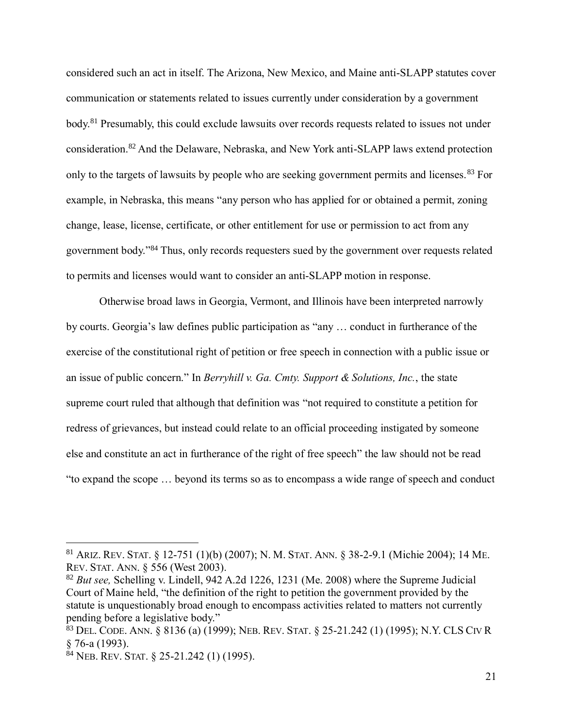considered such an act in itself. The Arizona, New Mexico, and Maine anti-SLAPP statutes cover communication or statements related to issues currently under consideration by a government body.<sup>81</sup> Presumably, this could exclude lawsuits over records requests related to issues not under consideration.<sup>82</sup> And the Delaware, Nebraska, and New York anti-SLAPP laws extend protection only to the targets of lawsuits by people who are seeking government permits and licenses.<sup>83</sup> For example, in Nebraska, this means "any person who has applied for or obtained a permit, zoning change, lease, license, certificate, or other entitlement for use or permission to act from any government body."<sup>84</sup> Thus, only records requesters sued by the government over requests related to permits and licenses would want to consider an anti-SLAPP motion in response.

Otherwise broad laws in Georgia, Vermont, and Illinois have been interpreted narrowly by courts. Georgia's law defines public participation as "any … conduct in furtherance of the exercise of the constitutional right of petition or free speech in connection with a public issue or an issue of public concern." In *Berryhill v. Ga. Cmty. Support & Solutions, Inc.*, the state supreme court ruled that although that definition was "not required to constitute a petition for redress of grievances, but instead could relate to an official proceeding instigated by someone else and constitute an act in furtherance of the right of free speech" the law should not be read "to expand the scope … beyond its terms so as to encompass a wide range of speech and conduct

<sup>81</sup> ARIZ. REV. STAT. § 12-751 (1)(b) (2007); N. M. STAT. ANN. § 38-2-9.1 (Michie 2004); 14 ME. REV. STAT. ANN. § 556 (West 2003).

<sup>82</sup> *But see,* Schelling v. Lindell, 942 A.2d 1226, 1231 (Me. 2008) where the Supreme Judicial Court of Maine held, "the definition of the right to petition the government provided by the statute is unquestionably broad enough to encompass activities related to matters not currently pending before a legislative body."

<sup>83</sup> DEL. CODE. ANN. § 8136 (a) (1999); NEB. REV. STAT. § 25-21.242 (1) (1995); N.Y. CLS CIV R § 76-a (1993).

 $84$  NEB. REV. STAT. § 25-21.242 (1) (1995).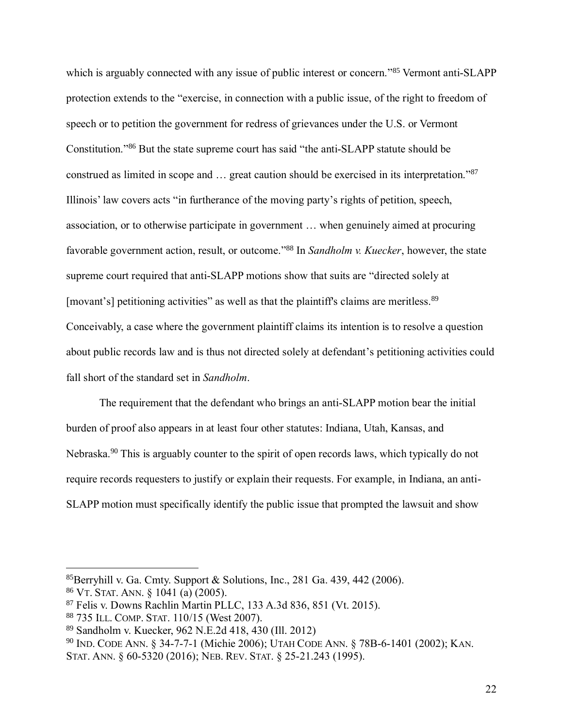which is arguably connected with any issue of public interest or concern."<sup>85</sup> Vermont anti-SLAPP protection extends to the "exercise, in connection with a public issue, of the right to freedom of speech or to petition the government for redress of grievances under the U.S. or Vermont Constitution." <sup>86</sup> But the state supreme court has said "the anti-SLAPP statute should be construed as limited in scope and ... great caution should be exercised in its interpretation."<sup>87</sup> Illinois' law covers acts "in furtherance of the moving party's rights of petition, speech, association, or to otherwise participate in government … when genuinely aimed at procuring favorable government action, result, or outcome." <sup>88</sup> In *Sandholm v. Kuecker*, however, the state supreme court required that anti-SLAPP motions show that suits are "directed solely at [movant's] petitioning activities" as well as that the plaintiff's claims are meritless.<sup>89</sup> Conceivably, a case where the government plaintiff claims its intention is to resolve a question about public records law and is thus not directed solely at defendant's petitioning activities could fall short of the standard set in *Sandholm*.

The requirement that the defendant who brings an anti-SLAPP motion bear the initial burden of proof also appears in at least four other statutes: Indiana, Utah, Kansas, and Nebraska.<sup>90</sup> This is arguably counter to the spirit of open records laws, which typically do not require records requesters to justify or explain their requests. For example, in Indiana, an anti-SLAPP motion must specifically identify the public issue that prompted the lawsuit and show

<sup>85</sup>Berryhill v. Ga. Cmty. Support & Solutions, Inc., 281 Ga. 439, 442 (2006).

<sup>86</sup> VT. STAT. ANN. § 1041 (a) (2005).

<sup>87</sup> Felis v. Downs Rachlin Martin PLLC, 133 A.3d 836, 851 (Vt. 2015).

<sup>88</sup> 735 ILL. COMP. STAT. 110/15 (West 2007).

<sup>89</sup> Sandholm v. Kuecker, 962 N.E.2d 418, 430 (Ill. 2012)

<sup>90</sup> IND. CODE ANN. § 34-7-7-1 (Michie 2006); UTAH CODE ANN. § 78B-6-1401 (2002); KAN.

STAT. ANN. § 60-5320 (2016); NEB. REV. STAT. § 25-21.243 (1995).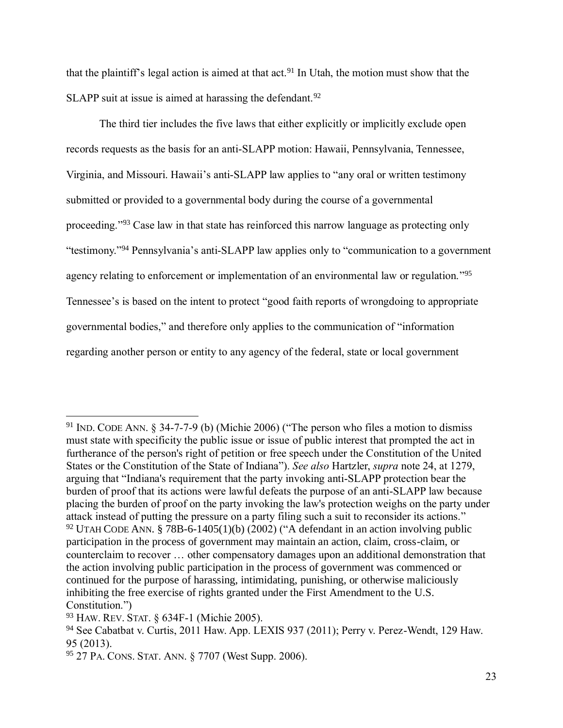that the plaintiff's legal action is aimed at that act.<sup>91</sup> In Utah, the motion must show that the SLAPP suit at issue is aimed at harassing the defendant.<sup>92</sup>

The third tier includes the five laws that either explicitly or implicitly exclude open records requests as the basis for an anti-SLAPP motion: Hawaii, Pennsylvania, Tennessee, Virginia, and Missouri. Hawaii's anti-SLAPP law applies to "any oral or written testimony submitted or provided to a governmental body during the course of a governmental proceeding.<sup>"93</sup> Case law in that state has reinforced this narrow language as protecting only "testimony." <sup>94</sup> Pennsylvania's anti-SLAPP law applies only to "communication to a government agency relating to enforcement or implementation of an environmental law or regulation."<sup>95</sup> Tennessee's is based on the intent to protect "good faith reports of wrongdoing to appropriate governmental bodies," and therefore only applies to the communication of "information regarding another person or entity to any agency of the federal, state or local government

<sup>91</sup> IND. CODE ANN. § 34-7-7-9 (b) (Michie 2006) ("The person who files a motion to dismiss must state with specificity the public issue or issue of public interest that prompted the act in furtherance of the person's right of petition or free speech under the Constitution of the United States or the Constitution of the State of Indiana"). *See also* Hartzler, *supra* note [24,](#page-5-0) at 1279, arguing that "Indiana's requirement that the party invoking anti-SLAPP protection bear the burden of proof that its actions were lawful defeats the purpose of an anti-SLAPP law because placing the burden of proof on the party invoking the law's protection weighs on the party under attack instead of putting the pressure on a party filing such a suit to reconsider its actions." <sup>92</sup> UTAH CODE ANN. § 78B-6-1405(1)(b) (2002) ("A defendant in an action involving public participation in the process of government may maintain an action, claim, cross-claim, or counterclaim to recover … other compensatory damages upon an additional demonstration that the action involving public participation in the process of government was commenced or continued for the purpose of harassing, intimidating, punishing, or otherwise maliciously inhibiting the free exercise of rights granted under the First Amendment to the U.S. Constitution.")

<sup>93</sup> HAW. REV. STAT. § 634F-1 (Michie 2005).

<sup>94</sup> See Cabatbat v. Curtis, 2011 Haw. App. LEXIS 937 (2011); Perry v. Perez-Wendt, 129 Haw. 95 (2013).

<sup>95</sup> 27 PA. CONS. STAT. ANN. § 7707 (West Supp. 2006).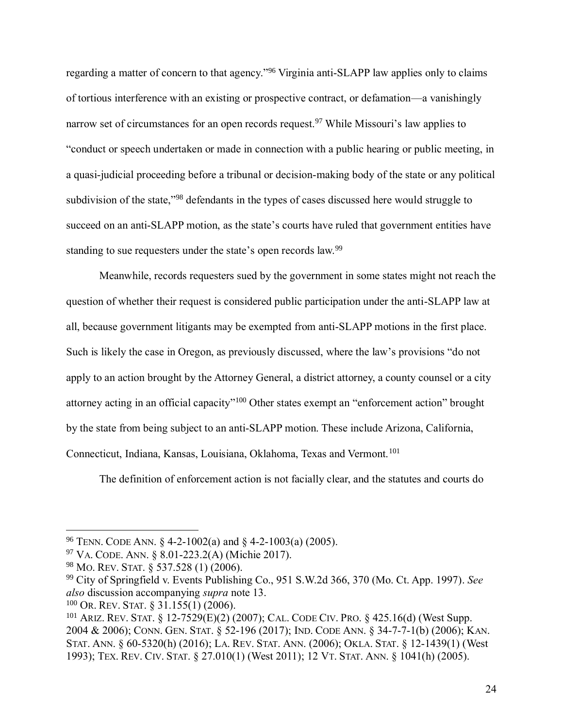regarding a matter of concern to that agency."<sup>96</sup> Virginia anti-SLAPP law applies only to claims of tortious interference with an existing or prospective contract, or defamation—a vanishingly narrow set of circumstances for an open records request.<sup>97</sup> While Missouri's law applies to "conduct or speech undertaken or made in connection with a public hearing or public meeting, in a quasi-judicial proceeding before a tribunal or decision-making body of the state or any political subdivision of the state,"<sup>98</sup> defendants in the types of cases discussed here would struggle to succeed on an anti-SLAPP motion, as the state's courts have ruled that government entities have standing to sue requesters under the state's open records law.<sup>99</sup>

Meanwhile, records requesters sued by the government in some states might not reach the question of whether their request is considered public participation under the anti-SLAPP law at all, because government litigants may be exempted from anti-SLAPP motions in the first place. Such is likely the case in Oregon, as previously discussed, where the law's provisions "do not apply to an action brought by the Attorney General, a district attorney, a county counsel or a city attorney acting in an official capacity"<sup>100</sup> Other states exempt an "enforcement action" brought by the state from being subject to an anti-SLAPP motion. These include Arizona, California, Connecticut, Indiana, Kansas, Louisiana, Oklahoma, Texas and Vermont.<sup>101</sup>

<span id="page-23-1"></span><span id="page-23-0"></span>The definition of enforcement action is not facially clear, and the statutes and courts do

<sup>96</sup> TENN. CODE ANN. § 4-2-1002(a) and § 4-2-1003(a) (2005).

<sup>97</sup> VA. CODE. ANN. § 8.01-223.2(A) (Michie 2017).

<sup>98</sup> MO. REV. STAT. § 537.528 (1) (2006).

<sup>99</sup> City of Springfield v. Events Publishing Co., 951 S.W.2d 366, 370 (Mo. Ct. App. 1997). *See also* discussion accompanying *supra* note [13.](#page-4-0)

<sup>100</sup> OR. REV. STAT. § 31.155(1) (2006).

<sup>101</sup> ARIZ. REV. STAT. § 12-7529(E)(2) (2007); CAL. CODE CIV. PRO. § 425.16(d) (West Supp. 2004 & 2006); CONN. GEN. STAT. § 52-196 (2017); IND. CODE ANN. § 34-7-7-1(b) (2006); KAN. STAT. ANN. § 60-5320(h) (2016); LA. REV. STAT. ANN. (2006); OKLA. STAT. § 12-1439(1) (West 1993); TEX. REV. CIV. STAT. § 27.010(1) (West 2011); 12 VT. STAT. ANN. § 1041(h) (2005).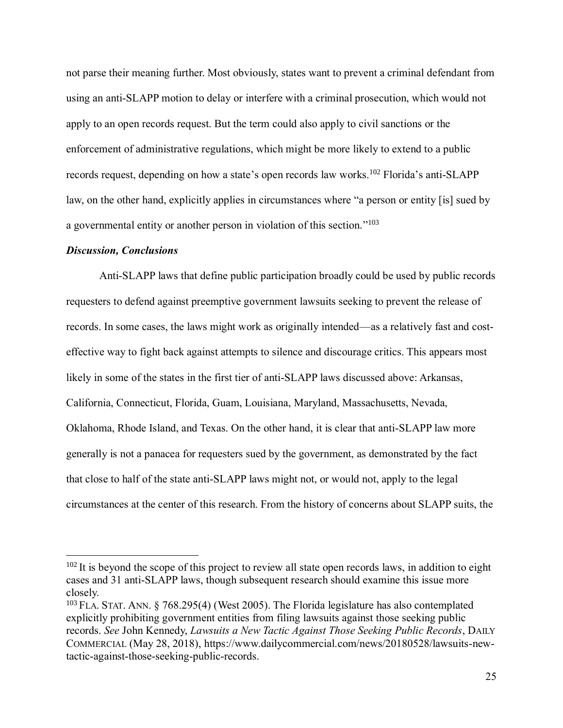not parse their meaning further. Most obviously, states want to prevent a criminal defendant from using an anti-SLAPP motion to delay or interfere with a criminal prosecution, which would not apply to an open records request. But the term could also apply to civil sanctions or the enforcement of administrative regulations, which might be more likely to extend to a public records request, depending on how a state's open records law works.<sup>102</sup> Florida's anti-SLAPP law, on the other hand, explicitly applies in circumstances where "a person or entity [is] sued by a governmental entity or another person in violation of this section." 103

#### *Discussion, Conclusions*

 $\overline{a}$ 

Anti-SLAPP laws that define public participation broadly could be used by public records requesters to defend against preemptive government lawsuits seeking to prevent the release of records. In some cases, the laws might work as originally intended—as a relatively fast and costeffective way to fight back against attempts to silence and discourage critics. This appears most likely in some of the states in the first tier of anti-SLAPP laws discussed above: Arkansas, California, Connecticut, Florida, Guam, Louisiana, Maryland, Massachusetts, Nevada, Oklahoma, Rhode Island, and Texas. On the other hand, it is clear that anti-SLAPP law more generally is not a panacea for requesters sued by the government, as demonstrated by the fact that close to half of the state anti-SLAPP laws might not, or would not, apply to the legal circumstances at the center of this research. From the history of concerns about SLAPP suits, the

 $102$  It is beyond the scope of this project to review all state open records laws, in addition to eight cases and 31 anti-SLAPP laws, though subsequent research should examine this issue more closely.

<sup>&</sup>lt;sup>103</sup> FLA. STAT. ANN. § 768.295(4) (West 2005). The Florida legislature has also contemplated explicitly prohibiting government entities from filing lawsuits against those seeking public records. *See* John Kennedy, *Lawsuits a New Tactic Against Those Seeking Public Records*, DAILY COMMERCIAL (May 28, 2018), https://www.dailycommercial.com/news/20180528/lawsuits-newtactic-against-those-seeking-public-records.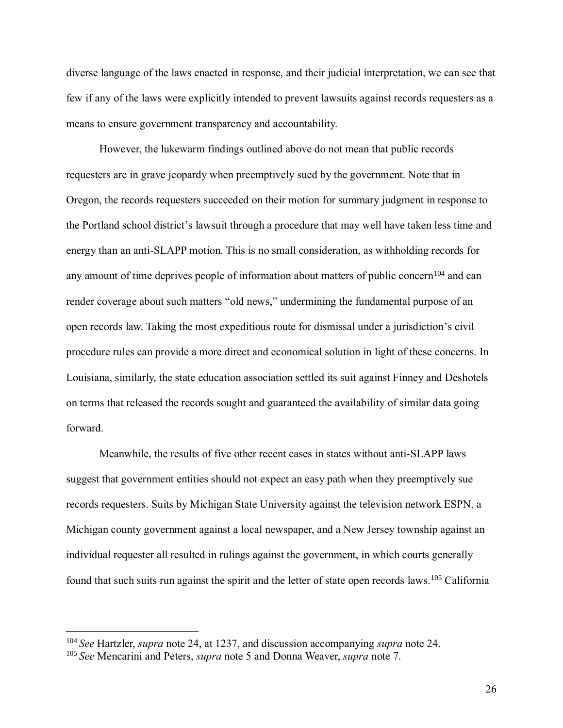diverse language of the laws enacted in response, and their judicial interpretation, we can see that few if any of the laws were explicitly intended to prevent lawsuits against records requesters as a means to ensure government transparency and accountability.

However, the lukewarm findings outlined above do not mean that public records requesters are in grave jeopardy when preemptively sued by the government. Note that in Oregon, the records requesters succeeded on their motion for summary judgment in response to the Portland school district's lawsuit through a procedure that may well have taken less time and energy than an anti-SLAPP motion. This is no small consideration, as withholding records for any amount of time deprives people of information about matters of public concern<sup>104</sup> and can render coverage about such matters "old news," undermining the fundamental purpose of an open records law. Taking the most expeditious route for dismissal under a jurisdiction's civil procedure rules can provide a more direct and economical solution in light of these concerns. In Louisiana, similarly, the state education association settled its suit against Finney and Deshotels on terms that released the records sought and guaranteed the availability of similar data going forward.

Meanwhile, the results of five other recent cases in states without anti-SLAPP laws suggest that government entities should not expect an easy path when they preemptively sue records requesters. Suits by Michigan State University against the television network ESPN, a Michigan county government against a local newspaper, and a New Jersey township against an individual requester all resulted in rulings against the government, in which courts generally found that such suits run against the spirit and the letter of state open records laws.<sup>105</sup> California

<sup>104</sup> *See* Hartzler, *supra* note [24,](#page-5-0) at 1237, and discussion accompanying *supra* note [24.](#page-5-0)

<sup>105</sup> *See* Mencarini and Peters, *supra* note [5](#page-1-0) and Donna Weaver, *supra* note [7.](#page-2-1)